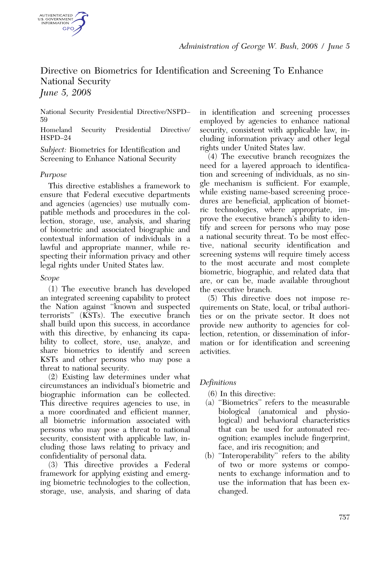

# Directive on Biometrics for Identification and Screening To Enhance National Security

*June 5, 2008*

National Security Presidential Directive/NSPD– 59

Homeland Security Presidential Directive/ HSPD–24

*Subject:* Biometrics for Identification and Screening to Enhance National Security

## *Purpose*

This directive establishes a framework to ensure that Federal executive departments and agencies (agencies) use mutually compatible methods and procedures in the collection, storage, use, analysis, and sharing of biometric and associated biographic and contextual information of individuals in a lawful and appropriate manner, while respecting their information privacy and other legal rights under United States law.

### *Scope*

(1) The executive branch has developed an integrated screening capability to protect the Nation against ''known and suspected terrorists'' (KSTs). The executive branch shall build upon this success, in accordance with this directive, by enhancing its capability to collect, store, use, analyze, and share biometrics to identify and screen KSTs and other persons who may pose a threat to national security.

(2) Existing law determines under what circumstances an individual's biometric and biographic information can be collected. This directive requires agencies to use, in a more coordinated and efficient manner, all biometric information associated with persons who may pose a threat to national security, consistent with applicable law, including those laws relating to privacy and confidentiality of personal data.

(3) This directive provides a Federal framework for applying existing and emerging biometric technologies to the collection, storage, use, analysis, and sharing of data ramework for applying existing and emerg-<br>ing biometric technologies to the collection,<br>storage, use, analysis, and sharing of data<br>changed.

in identification and screening processes employed by agencies to enhance national security, consistent with applicable law, including information privacy and other legal rights under United States law.

(4) The executive branch recognizes the need for a layered approach to identification and screening of individuals, as no single mechanism is sufficient. For example, while existing name-based screening procedures are beneficial, application of biometric technologies, where appropriate, improve the executive branch's ability to identify and screen for persons who may pose a national security threat. To be most effective, national security identification and screening systems will require timely access to the most accurate and most complete biometric, biographic, and related data that are, or can be, made available throughout the executive branch.

(5) This directive does not impose requirements on State, local, or tribal authorities or on the private sector. It does not provide new authority to agencies for collection, retention, or dissemination of information or for identification and screening activities.

## *Definitions*

- (6) In this directive:
- (a) ''Biometrics'' refers to the measurable biological (anatomical and physiological) and behavioral characteristics that can be used for automated recognition; examples include fingerprint, face, and iris recognition; and
- (b) ''Interoperability'' refers to the ability of two or more systems or components to exchange information and to use the information that has been exchanged.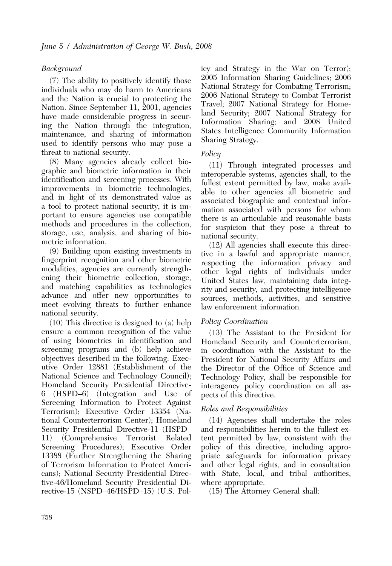## *Background*

(7) The ability to positively identify those individuals who may do harm to Americans and the Nation is crucial to protecting the Nation. Since September 11, 2001, agencies have made considerable progress in securing the Nation through the integration, maintenance, and sharing of information used to identify persons who may pose a threat to national security.

(8) Many agencies already collect biographic and biometric information in their identification and screening processes. With improvements in biometric technologies, and in light of its demonstrated value as a tool to protect national security, it is important to ensure agencies use compatible methods and procedures in the collection, storage, use, analysis, and sharing of biometric information.

(9) Building upon existing investments in fingerprint recognition and other biometric modalities, agencies are currently strengthening their biometric collection, storage, and matching capabilities as technologies advance and offer new opportunities to meet evolving threats to further enhance national security.

(10) This directive is designed to (a) help ensure a common recognition of the value of using biometrics in identification and screening programs and (b) help achieve objectives described in the following: Executive Order 12881 (Establishment of the National Science and Technology Council); Homeland Security Presidential Directive-6 (HSPD–6) (Integration and Use of Screening Information to Protect Against Terrorism); Executive Order 13354 (National Counterterrorism Center); Homeland Security Presidential Directive-11 (HSPD– 11) (Comprehensive Terrorist Related Screening Procedures); Executive Order 13388 (Further Strengthening the Sharing of Terrorism Information to Protect Americans); National Security Presidential Directive-46/Homeland Security Presidential Directive-15 (NSPD–46/HSPD–15) (U.S. Polcans); National Security Presidential Direc-<br>tive-46/Homeland Security Presidential Di-<br>rective-15 (NSPD-46/HSPD-15) (U.S. Pol-<br>758<br>758

icy and Strategy in the War on Terror); 2005 Information Sharing Guidelines; 2006 National Strategy for Combating Terrorism; 2006 National Strategy to Combat Terrorist Travel; 2007 National Strategy for Homeland Security; 2007 National Strategy for Information Sharing; and 2008 United States Intelligence Community Information Sharing Strategy.

#### *Policy*

(11) Through integrated processes and interoperable systems, agencies shall, to the fullest extent permitted by law, make available to other agencies all biometric and associated biographic and contextual information associated with persons for whom there is an articulable and reasonable basis for suspicion that they pose a threat to national security.

(12) All agencies shall execute this directive in a lawful and appropriate manner, respecting the information privacy and other legal rights of individuals under United States law, maintaining data integrity and security, and protecting intelligence sources, methods, activities, and sensitive law enforcement information.

### *Policy Coordination*

(13) The Assistant to the President for Homeland Security and Counterterrorism, in coordination with the Assistant to the President for National Security Affairs and the Director of the Office of Science and Technology Policy, shall be responsible for interagency policy coordination on all aspects of this directive.

# *Roles and Responsibilities*

(14) Agencies shall undertake the roles and responsibilities herein to the fullest extent permitted by law, consistent with the policy of this directive, including appropriate safeguards for information privacy and other legal rights, and in consultation with State, local, and tribal authorities, where appropriate.

(15) The Attorney General shall: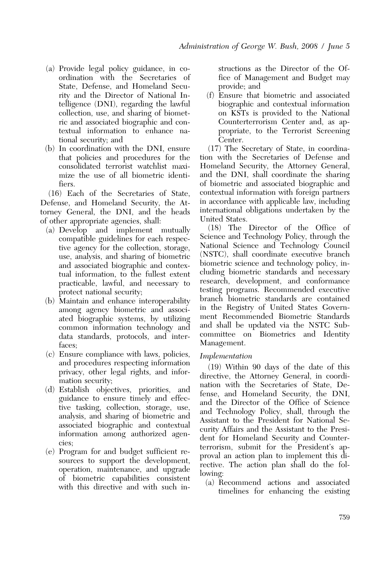- (a) Provide legal policy guidance, in coordination with the Secretaries of State, Defense, and Homeland Security and the Director of National Intelligence (DNI), regarding the lawful collection, use, and sharing of biometric and associated biographic and contextual information to enhance national security; and
- (b) In coordination with the DNI, ensure that policies and procedures for the consolidated terrorist watchlist maximize the use of all biometric identifiers.

(16) Each of the Secretaries of State, Defense, and Homeland Security, the Attorney General, the DNI, and the heads of other appropriate agencies, shall:

- (a) Develop and implement mutually compatible guidelines for each respective agency for the collection, storage, use, analysis, and sharing of biometric and associated biographic and contextual information, to the fullest extent practicable, lawful, and necessary to protect national security;
- (b) Maintain and enhance interoperability among agency biometric and associated biographic systems, by utilizing common information technology and data standards, protocols, and interfaces;
- (c) Ensure compliance with laws, policies, and procedures respecting information privacy, other legal rights, and information security;
- (d) Establish objectives, priorities, and guidance to ensure timely and effective tasking, collection, storage, use, analysis, and sharing of biometric and associated biographic and contextual information among authorized agencies;
- (e) Program for and budget sufficient resources to support the development, operation, maintenance, and upgrade of biometric capabilities consistent with this directive and with such inof biometric capabilities consistent lowing:<br>with this directive and with such in-<br>timelines for enhancing<br>timelines for enhancing

structions as the Director of the Office of Management and Budget may provide; and

(f) Ensure that biometric and associated biographic and contextual information on KSTs is provided to the National Counterterrorism Center and, as appropriate, to the Terrorist Screening Center.

(17) The Secretary of State, in coordination with the Secretaries of Defense and Homeland Security, the Attorney General, and the DNI, shall coordinate the sharing of biometric and associated biographic and contextual information with foreign partners in accordance with applicable law, including international obligations undertaken by the United States.

(18) The Director of the Office of Science and Technology Policy, through the National Science and Technology Council (NSTC), shall coordinate executive branch biometric science and technology policy, including biometric standards and necessary research, development, and conformance testing programs. Recommended executive branch biometric standards are contained in the Registry of United States Government Recommended Biometric Standards and shall be updated via the NSTC Subcommittee on Biometrics and Identity Management.

#### *Implementation*

(19) Within 90 days of the date of this directive, the Attorney General, in coordination with the Secretaries of State, Defense, and Homeland Security, the DNI, and the Director of the Office of Science and Technology Policy, shall, through the Assistant to the President for National Security Affairs and the Assistant to the President for Homeland Security and Counterterrorism, submit for the President's approval an action plan to implement this directive. The action plan shall do the following:

(a) Recommend actions and associated timelines for enhancing the existing